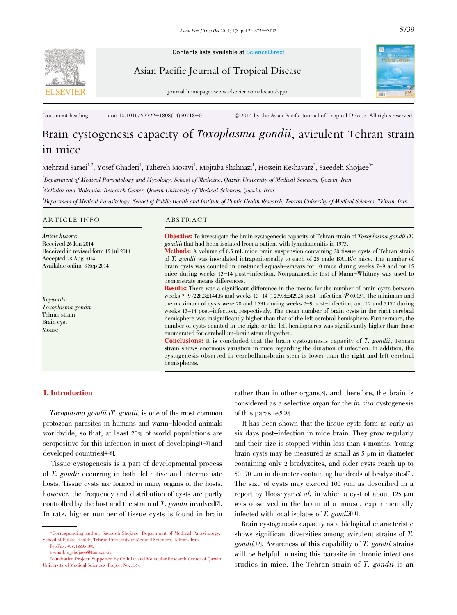

Contents lists available at ScienceDirect

Asian Pacific Journal of Tropical Disease



journal homepage: www.elsevier.com/locate/apjtd

Document heading doi: 10.1016/S2222-1808(14)60718-0 © 2014 by the Asian Pacific Journal of Tropical Disease. All rights reserved.

# Brain cystogenesis capacity of Toxoplasma gondii, avirulent Tehran strain in mice

Mehrzad Saraei<sup>1,2</sup>, Yosef Ghaderi<sup>1</sup>, Tahereh Mosavi<sup>1</sup>, Mojtaba Shahnazi<sup>1</sup>, Hossein Keshavarz<sup>3</sup>, Saeedeh Shojaee<sup>3\*</sup>

1 Department of Medical Parasitology and Mycology, School of Medicine, Qazvin University of Medical Sciences, Qazvin, Iran

 $^2$ Cellular and Molecular Research Center, Qazvin University of Medical Sciences, Qazvin, Iran

)<br>Department of Medical Parasitology, School of Public Health and Institute of Public Health Research, Tehran University of Medical Sciences, Tehran, Iran

#### ARTICLE INFO ABSTRACT

Article history: Received 26 Jun 2014 Received in revised form 15 Jul 2014 Accepted 28 Aug 2014 Available online 8 Sep 2014

Keywords: Toxoplasma gondii Tehran strain Brain cyst Mouse

Objective: To investigate the brain cystogenesis capacity of Tehran strain of Toxoplasma gondii (T. gondii) that had been isolated from a patient with lymphadenitis in 1973.

Methods: A volume of 0.5 mL mice brain suspension containing <sup>20</sup> tissue cysts of Tehran strain of T. gondii was inoculated intraperitoneally to each of <sup>25</sup> male BALB/c mice. The number of brain cysts was counted in unstained squash-smears for 10 mice during weeks 7-9 and for 15 mice during weeks 13-14 post-infection. Nonparametric test of Mann-Whitney was used to demonstrate means differences.

Results: There was a significant difference in the means for the number of brain cysts between weeks  $7-9$  (228.3±144.8) and weeks 13-14 (1239.8±429.3) post-infection (P<0.05). The minimum and the maximum of cysts were 70 and 1 531 during weeks 7-9 post-infection, and 12 and 5 170 during weeks 13-14 post-infection, respectively. The mean number of brain cysts in the right cerebral hemisphere was insignificantly higher than that of the left cerebral hemisphere. Furthermore, the number of cysts counted in the right or the left hemispheres was significantly higher than those enumerated for cerebellum+brain stem altogether.

Conclusions: It is concluded that the brain cystogenesis capacity of T. gondii, Tehran strain shows enormous variation in mice regarding the duration of infection. In addition, the cystogenesis observed in cerebellum+brain stem is lower than the right and left cerebral hemispheres.

# 1. Introduction

Toxoplasma gondii (T. gondii) is one of the most common protozoan parasites in humans and warm-blooded animals worldwide, so that, at least 20% of world populations are seropositive for this infection in most of developing<sup>[1-3]</sup> and developed countries[4-6].

Tissue cystogenesis is a part of developmental process of T. gondii occurring in both definitive and intermediate hosts. Tissue cysts are formed in many organs of the hosts, however, the frequency and distribution of cysts are partly controlled by the host and the strain of T. gondii involved[7]. In rats, higher number of tissue cysts is found in brain rather than in other organs[8], and therefore, the brain is considered as a selective organ for the in vivo cystogenesis of this parasite[9,10].

It has been shown that the tissue cysts form as early as six days post-infection in mice brain. They grow regularly and their size is stopped within less than 4 months. Young brain cysts may be measured as small as 5 µm in diameter containing only 2 bradyzoites, and older cysts reach up to 50-70 µm in diameter containing hundreds of bradyzoites[7]. The size of cysts may exceed 100  $\mu$ m, as described in a report by Hooshyar et al. in which a cyst of about 125  $\mu$ m was observed in the brain of a mouse, experimentally infected with local isolates of  $T$ . gondi $i$ [11].

Brain cystogenesis capacity as a biological characteristic shows significant diversities among avirulent strains of T.  $\gamma$ gondii<sup>[12]</sup>. Awareness of this capability of T. gondii strains will be helpful in using this parasite in chronic infections studies in mice. The Tehran strain of T. gondii is an

<sup>\*</sup>Corresponding author: Saeedeh Shojaee, Department of Medical Parasitology, School of Public Health, Tehran University of Medical Sciences, Tehran, Iran. Tel/Fax: +982188951392

E-mail: s\_shojaee@tums.ac.ir

Foundtation Project: Supported by Cellular and Molecular Research Center of Qazvin University of Medical Sciences (Project No. 536).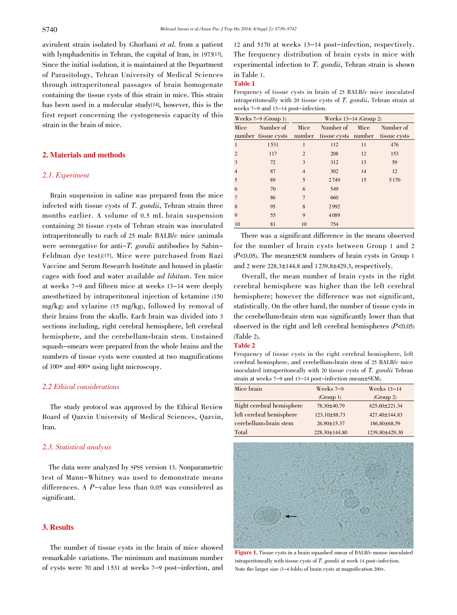avirulent strain isolated by Ghorbani et al. from a patient with lymphadenitis in Tehran, the capital of Iran, in 1973[13]. Since the initial isolation, it is maintained at the Department of Parasitology, Tehran University of Medical Sciences through intraperitoneal passages of brain homogenate containing the tissue cysts of this strain in mice. This strain has been used in a molecular study<sup>[14]</sup>, however, this is the first report concerning the cystogenesis capacity of this strain in the brain of mice.

#### 2. Materials and methods

#### 2.1. Experiment

Brain suspension in saline was prepared from the mice infected with tissue cysts of T. gondii, Tehran strain three months earlier. A volume of 0.5 mL brain suspension containing 20 tissue cysts of Tehran strain was inoculated intraperitoneally to each of 25 male BALB/c mice (animals were seronegative for anti-T. gondii antibodies by Sabin-Feldman dye test)[15]. Mice were purchased from Razi Vaccine and Serum Research Institute and housed in plastic cages with food and water available ad libitum. Ten mice at weeks 7-9 and fifteen mice at weeks 13-14 were deeply anesthetized by intraperitoneal injection of ketamine (150 mg/kg) and xylazine (15 mg/kg), followed by removal of their brains from the skulls. Each brain was divided into 3 sections including, right cerebral hemisphere, left cerebral hemisphere, and the cerebellum+brain stem. Unstained squash-smears were prepared from the whole brains and the numbers of tissue cysts were counted at two magnifications of <sup>100</sup>× and <sup>400</sup>× using light microscopy.

### 2.2 Ethical considerations

The study protocol was approved by the Ethical Review Board of Qazvin University of Medical Sciences, Qazvin, Iran.

# 2.3. Statistical analysis

The data were analyzed by SPSS version 13. Nonparametric test of Mann-Whitney was used to demonstrate means differences. A P-value less than 0.05 was considered as significant.

# 3. Results

The number of tissue cysts in the brain of mice showed remarkable variations. The minimum and maximum number of cysts were 70 and 1 531 at weeks 7-9 post-infection, and

12 and 5170 at weeks 13-14 post-infection, respectively. The frequency distribution of brain cysts in mice with experimental infection to T. gondii, Tehran strain is shown in Table 1.

#### Table 1

Frequency of tissue cysts in brain of 25 BALB/c mice inoculated intraperitoneally with <sup>20</sup> tissue cysts of T. gondii, Tehran strain at weeks 7-9 and 13-14 post-infection.

| Weeks $7-9$ (Group 1) |                     | Weeks $13-14$ (Group 2) |                     |      |              |
|-----------------------|---------------------|-------------------------|---------------------|------|--------------|
| Mice                  | Number of           | Mice                    | Number of           | Mice | Number of    |
|                       | number tissue cysts | number                  | tissue cysts number |      | tissue cysts |
| 1                     | 1531                | 1                       | 112                 | 11   | 476          |
| $\overline{2}$        | 117                 | 2                       | 208                 | 12   | 153          |
| 3                     | 72                  | 3                       | 312                 | 13   | 59           |
| $\overline{4}$        | 87                  | $\overline{4}$          | 302                 | 14   | 12           |
| 5                     | 89                  | 5                       | 2749                | 15   | 5 1 7 0      |
| 6                     | 70                  | 6                       | 549                 |      |              |
| $\overline{7}$        | 86                  | $\overline{7}$          | 660                 |      |              |
| 8                     | 95                  | 8                       | 2992                |      |              |
| 9                     | 55                  | 9                       | 4089                |      |              |
| 10                    | 81                  | 10                      | 754                 |      |              |

There was a significant difference in the means observed for the number of brain cysts between Group 1 and 2  $(P<0.05)$ . The mean±SEM numbers of brain cysts in Group 1 and 2 were  $228.3 \pm 144.8$  and  $1239.8 \pm 429.3$ , respectively.

Overall, the mean number of brain cysts in the right cerebral hemisphere was higher than the left cerebral hemisphere; however the difference was not significant, statistically. On the other hand, the number of tissue cysts in the cerebellum+brain stem was significantly lower than that observed in the right and left cerebral hemispheres  $(P<0.05)$ (Table 2).

#### Table 2

Frequency of tissue cysts in the right cerebral hemisphere, left cerebral hemisphere, and cerebellum+brain stem of 25 BALB/c mice inoculated intraperitoneally with <sup>20</sup> tissue cysts of T. gondii Tehran strain at weeks 7-9 and 13-14 post-infection (mean±SEM).

| Mice brain                | Weeks $7-9$         | Weeks $13-14$       |
|---------------------------|---------------------|---------------------|
|                           | (Group 1)           | (Group 2)           |
| Right cerebral hemisphere | 78.30±40.79         | $625.60 \pm 221.34$ |
| left cerebral hemisphere  | 123.10±88.73        | 427.40±144.83       |
| cerebellum+brain stem     | $26.90 \pm 15.37$   | 186.80±68.59        |
| Total                     | $228.30 \pm 144.80$ | 1239.80±429.30      |



Figure 1. Tissue cysts in a brain squashed smear of BALB/c mouse inoculated intraperitoneally with tissue cysts of T. gondii at week <sup>14</sup> post-infection. Note the larger size (3-4 folds) of brain cysts at magnification 200×.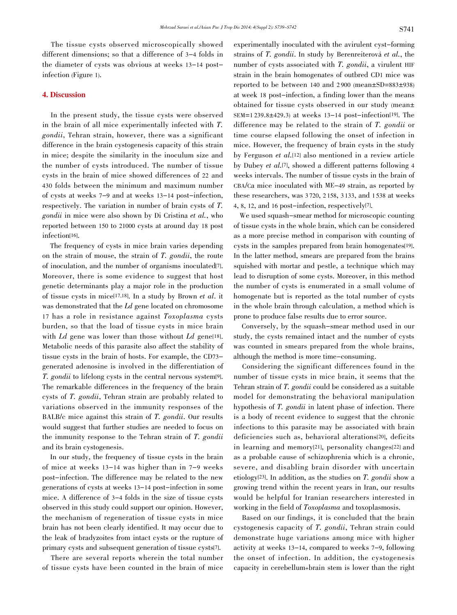The tissue cysts observed microscopically showed different dimensions; so that a difference of 3-4 folds in the diameter of cysts was obvious at weeks 13-14 postinfection (Figure 1).

# 4. Discussion

In the present study, the tissue cysts were observed in the brain of all mice experimentally infected with T. gondii, Tehran strain, however, there was a significant difference in the brain cystogenesis capacity of this strain in mice; despite the similarity in the inoculum size and the number of cysts introduced. The number of tissue cysts in the brain of mice showed differences of 22 and 430 folds between the minimum and maximum number of cysts at weeks 7-9 and at weeks 13-14 post-infection, respectively. The variation in number of brain cysts of T. gondii in mice were also shown by Di Cristina et al., who reported between 150 to 21000 cysts at around day 18 post infection[16].

The frequency of cysts in mice brain varies depending on the strain of mouse, the strain of T. gondii, the route of inoculation, and the number of organisms inoculated[7]. Moreover, there is some evidence to suggest that host genetic determinants play a major role in the production of tissue cysts in mice[17,18]. In a study by Brown et al. it was demonstrated that the Ld gene located on chromosome <sup>17</sup> has a role in resistance against Toxoplasma cysts burden, so that the load of tissue cysts in mice brain with  $Ld$  gene was lower than those without  $Ld$  gene[18]. Metabolic needs of this parasite also affect the stability of tissue cysts in the brain of hosts. For example, the CD73 generated adenosine is involved in the differentiation of T. gondii to lifelong cysts in the central nervous system[9]. The remarkable differences in the frequency of the brain cysts of T. gondii, Tehran strain are probably related to variations observed in the immunity responses of the BALB/c mice against this strain of T. gondii. Our results would suggest that further studies are needed to focus on the immunity response to the Tehran strain of T. gondii and its brain cystogenesis.

In our study, the frequency of tissue cysts in the brain of mice at weeks 13-14 was higher than in 7-9 weeks post-infection. The difference may be related to the new generations of cysts at weeks 13-14 post-infection in some mice. A difference of 3-4 folds in the size of tissue cysts observed in this study could support our opinion. However, the mechanism of regeneration of tissue cysts in mice brain has not been clearly identified. It may occur due to the leak of bradyzoites from intact cysts or the rupture of primary cysts and subsequent generation of tissue cysts[7].

There are several reports wherein the total number of tissue cysts have been counted in the brain of mice

experimentally inoculated with the avirulent cyst-forming strains of T. gondii. In study by Berenreiterová et al., the number of cysts associated with T. gondii, a virulent HIF strain in the brain homogenates of outbred CD1 mice was reported to be between  $140$  and  $2900$  (mean $\pm$ SD=883 $\pm$ 938) at week 18 post-infection, a finding lower than the means obtained for tissue cysts observed in our study (mean±  $SEM=1 239.8 \pm 429.3$  at weeks  $13-14$  post-infection<sup>[19]</sup>. The difference may be related to the strain of T. gondii or time course elapsed following the onset of infection in mice. However, the frequency of brain cysts in the study by Ferguson et al.[12] also mentioned in a review article by Dubey et al.[7], showed a different patterns following <sup>4</sup> weeks intervals. The number of tissue cysts in the brain of CBA/Ca mice inoculated with ME-49 strain, as reported by these researchers, was 3 720, 2 158, 3 133, and 1 538 at weeks 4, 8, 12, and 16 post-infection, respectively[7].

We used squash-smear method for microscopic counting of tissue cysts in the whole brain, which can be considered as a more precise method in comparison with counting of cysts in the samples prepared from brain homogenates[19]. In the latter method, smears are prepared from the brains squished with mortar and pestle, a technique which may lead to disruption of some cysts. Moreover, in this method the number of cysts is enumerated in a small volume of homogenate but is reported as the total number of cysts in the whole brain through calculation, a method which is prone to produce false results due to error source.

Conversely, by the squash-smear method used in our study, the cysts remained intact and the number of cysts was counted in smears prepared from the whole brains, although the method is more time-consuming.

Considering the significant differences found in the number of tissue cysts in mice brain, it seems that the Tehran strain of T. gondii could be considered as a suitable model for demonstrating the behavioral manipulation hypothesis of T. gondii in latent phase of infection. There is a body of recent evidence to suggest that the chronic infections to this parasite may be associated with brain deficiencies such as, behavioral alterations[20], deficits in learning and memory[21], personality changes[22] and as a probable cause of schizophrenia which is a chronic, severe, and disabling brain disorder with uncertain etiology<sup>[23]</sup>. In addition, as the studies on  $T$ , gondii show a growing trend within the recent years in Iran, our results would be helpful for Iranian researchers interested in working in the field of *Toxoplasma* and toxoplasmosis.

Based on our findings, it is concluded that the brain cystogenesis capacity of T. gondii, Tehran strain could demonstrate huge variations among mice with higher activity at weeks 13-14, compared to weeks 7-9, following the onset of infection. In addition, the cystogenesis capacity in cerebellum+brain stem is lower than the right